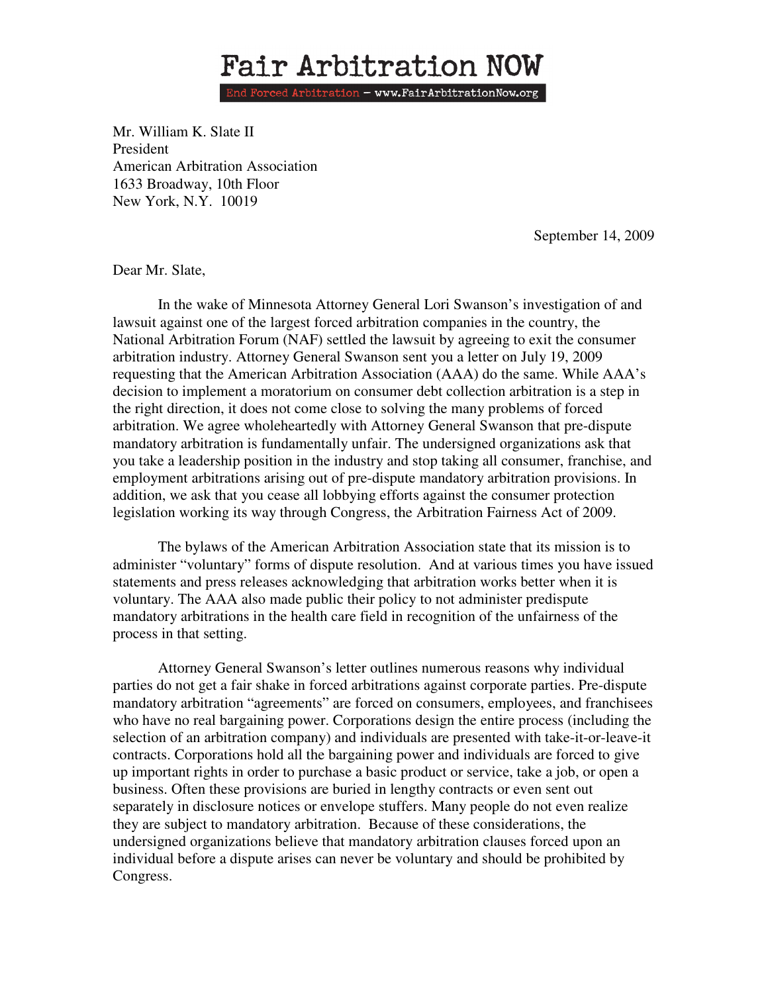## Fair Arbitration NOW

End Forced Arbitration - www.FairArbitrationNow.org

Mr. William K. Slate II President American Arbitration Association 1633 Broadway, 10th Floor New York, N.Y. 10019

September 14, 2009

Dear Mr. Slate,

In the wake of Minnesota Attorney General Lori Swanson's investigation of and lawsuit against one of the largest forced arbitration companies in the country, the National Arbitration Forum (NAF) settled the lawsuit by agreeing to exit the consumer arbitration industry. Attorney General Swanson sent you a letter on July 19, 2009 requesting that the American Arbitration Association (AAA) do the same. While AAA's decision to implement a moratorium on consumer debt collection arbitration is a step in the right direction, it does not come close to solving the many problems of forced arbitration. We agree wholeheartedly with Attorney General Swanson that pre-dispute mandatory arbitration is fundamentally unfair. The undersigned organizations ask that you take a leadership position in the industry and stop taking all consumer, franchise, and employment arbitrations arising out of pre-dispute mandatory arbitration provisions. In addition, we ask that you cease all lobbying efforts against the consumer protection legislation working its way through Congress, the Arbitration Fairness Act of 2009.

The bylaws of the American Arbitration Association state that its mission is to administer "voluntary" forms of dispute resolution. And at various times you have issued statements and press releases acknowledging that arbitration works better when it is voluntary. The AAA also made public their policy to not administer predispute mandatory arbitrations in the health care field in recognition of the unfairness of the process in that setting.

Attorney General Swanson's letter outlines numerous reasons why individual parties do not get a fair shake in forced arbitrations against corporate parties. Pre-dispute mandatory arbitration "agreements" are forced on consumers, employees, and franchisees who have no real bargaining power. Corporations design the entire process (including the selection of an arbitration company) and individuals are presented with take-it-or-leave-it contracts. Corporations hold all the bargaining power and individuals are forced to give up important rights in order to purchase a basic product or service, take a job, or open a business. Often these provisions are buried in lengthy contracts or even sent out separately in disclosure notices or envelope stuffers. Many people do not even realize they are subject to mandatory arbitration. Because of these considerations, the undersigned organizations believe that mandatory arbitration clauses forced upon an individual before a dispute arises can never be voluntary and should be prohibited by Congress.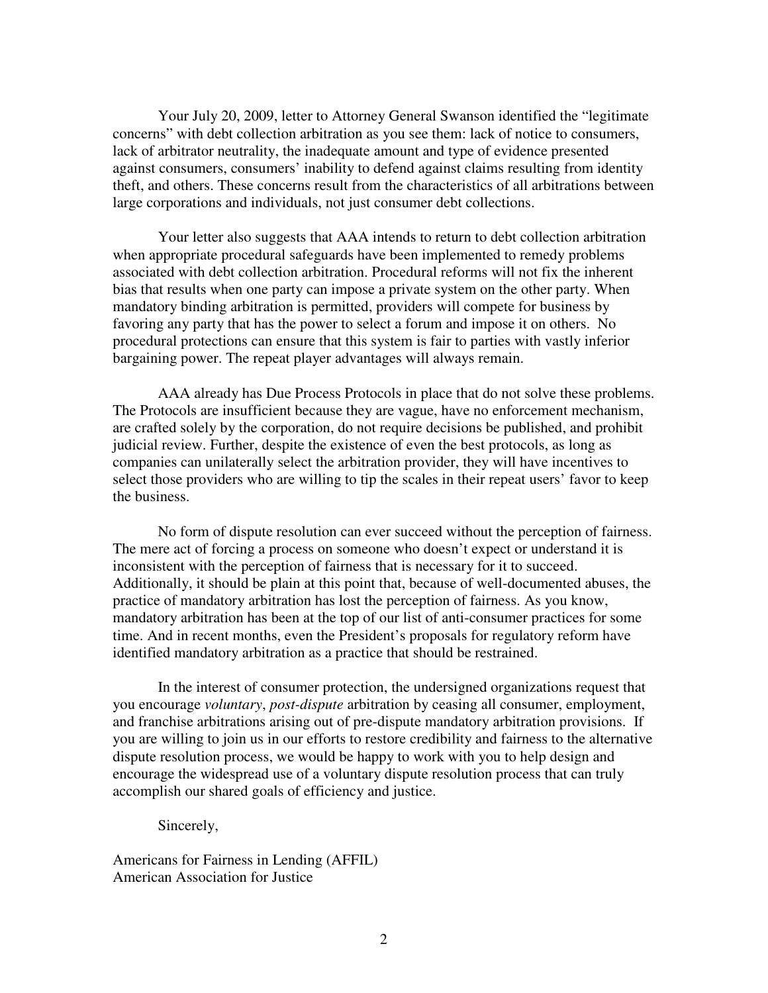Your July 20, 2009, letter to Attorney General Swanson identified the "legitimate concerns" with debt collection arbitration as you see them: lack of notice to consumers, lack of arbitrator neutrality, the inadequate amount and type of evidence presented against consumers, consumers' inability to defend against claims resulting from identity theft, and others. These concerns result from the characteristics of all arbitrations between large corporations and individuals, not just consumer debt collections.

Your letter also suggests that AAA intends to return to debt collection arbitration when appropriate procedural safeguards have been implemented to remedy problems associated with debt collection arbitration. Procedural reforms will not fix the inherent bias that results when one party can impose a private system on the other party. When mandatory binding arbitration is permitted, providers will compete for business by favoring any party that has the power to select a forum and impose it on others. No procedural protections can ensure that this system is fair to parties with vastly inferior bargaining power. The repeat player advantages will always remain.

AAA already has Due Process Protocols in place that do not solve these problems. The Protocols are insufficient because they are vague, have no enforcement mechanism, are crafted solely by the corporation, do not require decisions be published, and prohibit judicial review. Further, despite the existence of even the best protocols, as long as companies can unilaterally select the arbitration provider, they will have incentives to select those providers who are willing to tip the scales in their repeat users' favor to keep the business.

 No form of dispute resolution can ever succeed without the perception of fairness. The mere act of forcing a process on someone who doesn't expect or understand it is inconsistent with the perception of fairness that is necessary for it to succeed. Additionally, it should be plain at this point that, because of well-documented abuses, the practice of mandatory arbitration has lost the perception of fairness. As you know, mandatory arbitration has been at the top of our list of anti-consumer practices for some time. And in recent months, even the President's proposals for regulatory reform have identified mandatory arbitration as a practice that should be restrained.

In the interest of consumer protection, the undersigned organizations request that you encourage *voluntary*, *post-dispute* arbitration by ceasing all consumer, employment, and franchise arbitrations arising out of pre-dispute mandatory arbitration provisions. If you are willing to join us in our efforts to restore credibility and fairness to the alternative dispute resolution process, we would be happy to work with you to help design and encourage the widespread use of a voluntary dispute resolution process that can truly accomplish our shared goals of efficiency and justice.

Sincerely,

Americans for Fairness in Lending (AFFIL) American Association for Justice